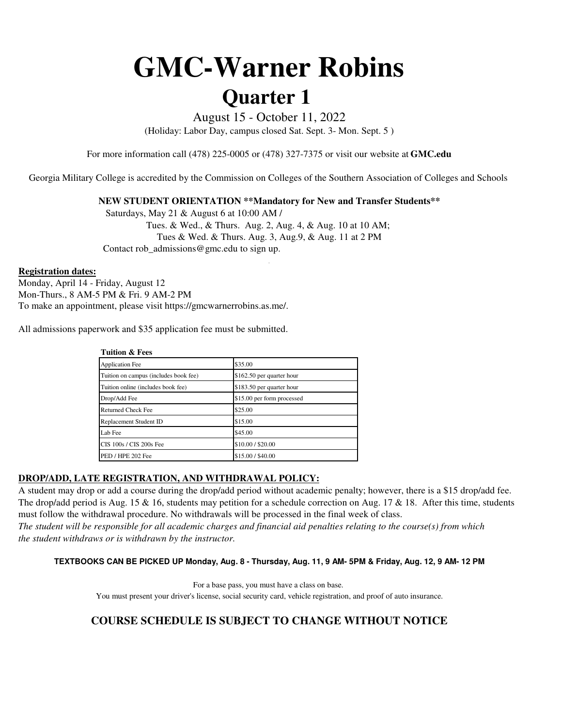# **GMC-Warner Robins Quarter 1**

August 15 - October 11, 2022

(Holiday: Labor Day, campus closed Sat. Sept. 3- Mon. Sept. 5 )

For more information call (478) 225-0005 or (478) 327-7375 or visit our website at **GMC.edu**

Georgia Military College is accredited by the Commission on Colleges of the Southern Association of Colleges and Schools

## **NEW STUDENT ORIENTATION \*\*Mandatory for New and Transfer Students\*\***

.

 Contact rob\_admissions@gmc.edu to sign up. Saturdays, May 21 & August 6 at 10:00 AM / Tues. & Wed., & Thurs. Aug. 2, Aug. 4, & Aug. 10 at 10 AM; Tues & Wed. & Thurs. Aug. 3, Aug.9, & Aug. 11 at 2 PM

#### **Registration dates:**

Monday, April 14 - Friday, August 12 Mon-Thurs., 8 AM-5 PM & Fri. 9 AM-2 PM To make an appointment, please visit https://gmcwarnerrobins.as.me/.

All admissions paperwork and \$35 application fee must be submitted.

| <b>Tuition &amp; Fees</b>             |                            |  |  |  |  |  |  |  |
|---------------------------------------|----------------------------|--|--|--|--|--|--|--|
| <b>Application Fee</b>                | \$35.00                    |  |  |  |  |  |  |  |
| Tuition on campus (includes book fee) | \$162.50 per quarter hour  |  |  |  |  |  |  |  |
| Tuition online (includes book fee)    | \$183.50 per quarter hour  |  |  |  |  |  |  |  |
| Drop/Add Fee                          | \$15.00 per form processed |  |  |  |  |  |  |  |
| <b>Returned Check Fee</b>             | \$25.00                    |  |  |  |  |  |  |  |
| Replacement Student ID                | \$15.00                    |  |  |  |  |  |  |  |
| Lab Fee                               | \$45.00                    |  |  |  |  |  |  |  |
| CIS 100s / CIS 200s Fee               | \$10.00 / \$20.00          |  |  |  |  |  |  |  |
| PED / HPE 202 Fee                     | \$15.00 / \$40.00          |  |  |  |  |  |  |  |

## **DROP/ADD, LATE REGISTRATION, AND WITHDRAWAL POLICY:**

A student may drop or add a course during the drop/add period without academic penalty; however, there is a \$15 drop/add fee. The drop/add period is Aug. 15  $\&$  16, students may petition for a schedule correction on Aug. 17  $\&$  18. After this time, students must follow the withdrawal procedure. No withdrawals will be processed in the final week of class.

*the student withdraws or is withdrawn by the instructor. The student will be responsible for all academic charges and financial aid penalties relating to the course(s) from which* 

#### **TEXTBOOKS CAN BE PICKED UP Monday, Aug. 8 - Thursday, Aug. 11, 9 AM- 5PM & Friday, Aug. 12, 9 AM- 12 PM**

For a base pass, you must have a class on base.

You must present your driver's license, social security card, vehicle registration, and proof of auto insurance.

# **COURSE SCHEDULE IS SUBJECT TO CHANGE WITHOUT NOTICE**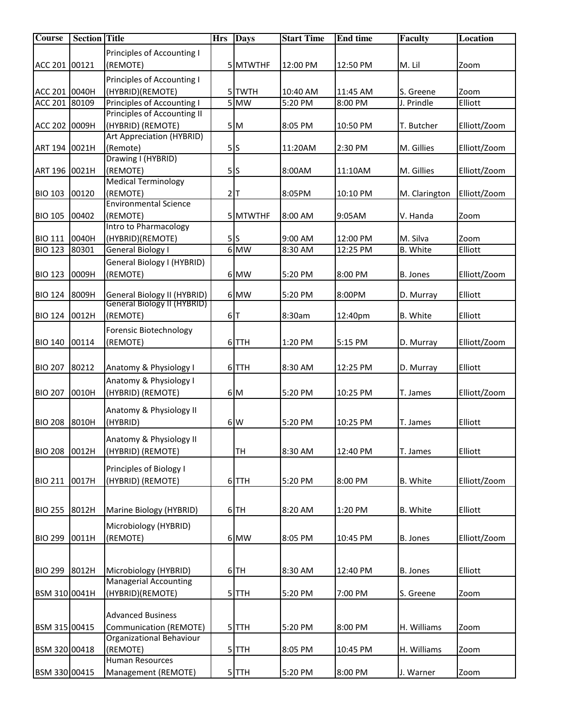| <b>Course</b>  | <b>Section Title</b> |                              | <b>Hrs</b> | <b>Days</b>       | <b>Start Time</b> | <b>End time</b> | Faculty         | <b>Location</b> |
|----------------|----------------------|------------------------------|------------|-------------------|-------------------|-----------------|-----------------|-----------------|
|                |                      | Principles of Accounting I   |            |                   |                   |                 |                 |                 |
| ACC 201 00121  |                      | (REMOTE)                     |            | 5 MTWTHF          | 12:00 PM          | 12:50 PM        | M. Lil          | Zoom            |
|                |                      | Principles of Accounting I   |            |                   |                   |                 |                 |                 |
| ACC 201 0040H  |                      | (HYBRID)(REMOTE)             |            | 5 TWTH            | 10:40 AM          | 11:45 AM        | S. Greene       | Zoom            |
| ACC 201 80109  |                      | Principles of Accounting I   |            | $\overline{5}$ MW | 5:20 PM           | 8:00 PM         | J. Prindle      | Elliott         |
|                |                      | Principles of Accounting II  |            |                   |                   |                 |                 |                 |
| ACC 202 0009H  |                      | (HYBRID) (REMOTE)            |            | 5M                | 8:05 PM           | 10:50 PM        | T. Butcher      | Elliott/Zoom    |
|                |                      | Art Appreciation (HYBRID)    |            |                   |                   |                 |                 |                 |
| ART 194 0021H  |                      | (Remote)                     |            | 5s                | 11:20AM           | 2:30 PM         | M. Gillies      | Elliott/Zoom    |
|                |                      | Drawing I (HYBRID)           |            |                   |                   |                 |                 |                 |
| ART 196 0021H  |                      | (REMOTE)                     |            | 5S                | 8:00AM            | 11:10AM         | M. Gillies      | Elliott/Zoom    |
|                |                      | <b>Medical Terminology</b>   |            |                   |                   |                 |                 |                 |
| <b>BIO 103</b> | 00120                | (REMOTE)                     |            | $2$ T             | 8:05PM            | 10:10 PM        | M. Clarington   | Elliott/Zoom    |
|                |                      | <b>Environmental Science</b> |            |                   |                   |                 |                 |                 |
| <b>BIO 105</b> | 00402                | (REMOTE)                     |            | 5 MTWTHF          | 8:00 AM           | 9:05AM          | V. Handa        | Zoom            |
|                |                      | Intro to Pharmacology        |            |                   |                   |                 |                 |                 |
| <b>BIO 111</b> | 0040H                | (HYBRID)(REMOTE)             |            | 5S                | 9:00 AM           | 12:00 PM        | M. Silva        | Zoom            |
| <b>BIO 123</b> | 80301                | General Biology I            |            | 6 MW              | 8:30 AM           | 12:25 PM        | <b>B.</b> White | Elliott         |
|                |                      | General Biology I (HYBRID)   |            |                   |                   |                 |                 |                 |
| <b>BIO 123</b> | 0009H                | (REMOTE)                     |            | 6 MW              | 5:20 PM           | 8:00 PM         | B. Jones        | Elliott/Zoom    |
|                |                      |                              |            |                   |                   |                 |                 |                 |
| <b>BIO 124</b> | 8009H                | General Biology II (HYBRID)  |            | 6 MW              | 5:20 PM           | 8:00PM          | D. Murray       | Elliott         |
|                |                      | General Biology II (HYBRID)  |            |                   |                   |                 |                 |                 |
| <b>BIO 124</b> | 0012H                | (REMOTE)                     |            | 6 T               | 8:30am            | 12:40pm         | B. White        | Elliott         |
|                |                      | Forensic Biotechnology       |            |                   |                   |                 |                 |                 |
| <b>BIO 140</b> | 00114                | (REMOTE)                     |            | 6 TTH             | 1:20 PM           | 5:15 PM         | D. Murray       | Elliott/Zoom    |
|                |                      |                              |            |                   |                   |                 |                 |                 |
| <b>BIO 207</b> | 80212                | Anatomy & Physiology I       |            | 6 TTH             | 8:30 AM           | 12:25 PM        | D. Murray       | Elliott         |
|                |                      | Anatomy & Physiology I       |            |                   |                   |                 |                 |                 |
| <b>BIO 207</b> | 0010H                | (HYBRID) (REMOTE)            |            | 6 M               | 5:20 PM           | 10:25 PM        | T. James        | Elliott/Zoom    |
|                |                      |                              |            |                   |                   |                 |                 |                 |
|                |                      | Anatomy & Physiology II      |            |                   |                   |                 |                 |                 |
| <b>BIO 208</b> | 8010H                | (HYBRID)                     |            | 6 W               | 5:20 PM           | 10:25 PM        | T. James        | Elliott         |
|                |                      | Anatomy & Physiology II      |            |                   |                   |                 |                 |                 |
| <b>BIO 208</b> | 0012H                | (HYBRID) (REMOTE)            |            | <b>TH</b>         | 8:30 AM           | 12:40 PM        | T. James        | Elliott         |
|                |                      |                              |            |                   |                   |                 |                 |                 |
|                |                      | Principles of Biology I      |            |                   |                   |                 |                 |                 |
| <b>BIO 211</b> | 0017H                | (HYBRID) (REMOTE)            |            | 6TTH              | 5:20 PM           | 8:00 PM         | B. White        | Elliott/Zoom    |
|                |                      |                              |            |                   |                   |                 |                 |                 |
| <b>BIO 255</b> | 8012H                | Marine Biology (HYBRID)      |            | 6TH               | 8:20 AM           | 1:20 PM         | <b>B.</b> White | Elliott         |
|                |                      |                              |            |                   |                   |                 |                 |                 |
| <b>BIO 299</b> |                      | Microbiology (HYBRID)        |            |                   |                   |                 |                 | Elliott/Zoom    |
|                | 0011H                | (REMOTE)                     |            | 6 MW              | 8:05 PM           | 10:45 PM        | B. Jones        |                 |
|                |                      |                              |            |                   |                   |                 |                 |                 |
| <b>BIO 299</b> | 8012H                | Microbiology (HYBRID)        |            | $6$ TH            | 8:30 AM           | 12:40 PM        | B. Jones        | Elliott         |
|                |                      | <b>Managerial Accounting</b> |            |                   |                   |                 |                 |                 |
| BSM 310 0041H  |                      | (HYBRID)(REMOTE)             |            | $5$ TTH           | 5:20 PM           | 7:00 PM         | S. Greene       | Zoom            |
|                |                      |                              |            |                   |                   |                 |                 |                 |
|                |                      | <b>Advanced Business</b>     |            |                   |                   |                 |                 |                 |
| BSM 315 00415  |                      | Communication (REMOTE)       |            | $5$ TTH           | 5:20 PM           | 8:00 PM         | H. Williams     | Zoom            |
|                |                      | Organizational Behaviour     |            |                   |                   |                 |                 |                 |
| BSM 320 00418  |                      | (REMOTE)                     |            | $5$ TTH           | 8:05 PM           | 10:45 PM        | H. Williams     | Zoom            |
|                |                      | <b>Human Resources</b>       |            |                   |                   |                 |                 |                 |
| BSM 330 00415  |                      | Management (REMOTE)          |            | 5TTH              | 5:20 PM           | 8:00 PM         | J. Warner       | Zoom            |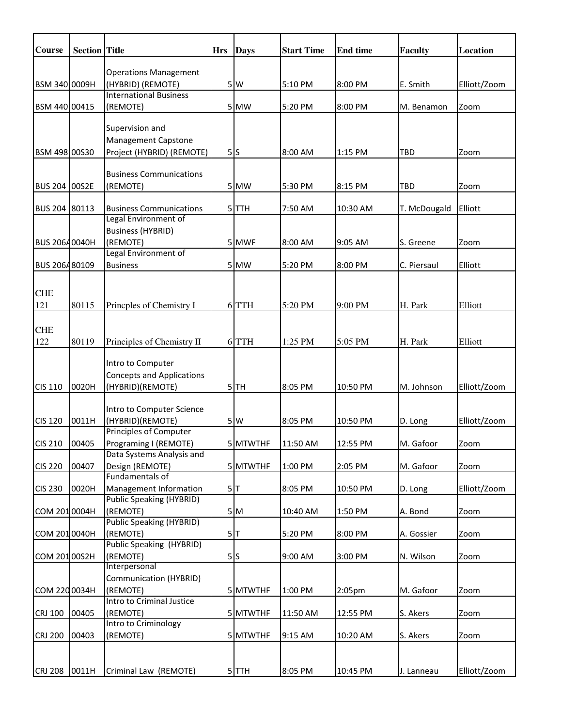| <b>Course</b>  | <b>Section</b> Title |                                                           | <b>Hrs</b> | <b>Days</b> | <b>Start Time</b> | <b>End time</b>    | <b>Faculty</b> | <b>Location</b> |
|----------------|----------------------|-----------------------------------------------------------|------------|-------------|-------------------|--------------------|----------------|-----------------|
|                |                      |                                                           |            |             |                   |                    |                |                 |
|                |                      | <b>Operations Management</b>                              |            |             |                   |                    |                |                 |
| BSM 340 0009H  |                      | (HYBRID) (REMOTE)<br><b>International Business</b>        |            | 5 W         | 5:10 PM           | 8:00 PM            | E. Smith       | Elliott/Zoom    |
| BSM 440 00415  |                      | (REMOTE)                                                  |            | 5 MW        | 5:20 PM           | 8:00 PM            | M. Benamon     | Zoom            |
|                |                      |                                                           |            |             |                   |                    |                |                 |
|                |                      | Supervision and                                           |            |             |                   |                    |                |                 |
|                |                      | <b>Management Capstone</b>                                |            |             |                   |                    |                |                 |
| BSM 498 00S30  |                      | Project (HYBRID) (REMOTE)                                 |            | 5S          | 8:00 AM           | 1:15 PM            | <b>TBD</b>     | Zoom            |
|                |                      |                                                           |            |             |                   |                    |                |                 |
|                |                      | <b>Business Communications</b>                            |            |             |                   |                    |                |                 |
| BUS 204 00S2E  |                      | (REMOTE)                                                  |            | 5 MW        | 5:30 PM           | 8:15 PM            | TBD            | Zoom            |
| BUS 204 80113  |                      | <b>Business Communications</b>                            |            | 5 TTH       | 7:50 AM           | 10:30 AM           | T. McDougald   | Elliott         |
|                |                      | Legal Environment of                                      |            |             |                   |                    |                |                 |
|                |                      | <b>Business (HYBRID)</b>                                  |            |             |                   |                    |                |                 |
| BUS 20640040H  |                      | (REMOTE)                                                  |            | 5 MWF       | 8:00 AM           | 9:05 AM            | S. Greene      | Zoom            |
|                |                      | Legal Environment of                                      |            |             |                   |                    |                |                 |
| BUS 206480109  |                      | <b>Business</b>                                           |            | 5 MW        | 5:20 PM           | 8:00 PM            | C. Piersaul    | Elliott         |
|                |                      |                                                           |            |             |                   |                    |                |                 |
| <b>CHE</b>     |                      |                                                           |            |             |                   |                    |                |                 |
| 121            | 80115                | Princples of Chemistry I                                  |            | 6 TTH       | 5:20 PM           | 9:00 PM            | H. Park        | Elliott         |
|                |                      |                                                           |            |             |                   |                    |                |                 |
| <b>CHE</b>     |                      |                                                           |            |             |                   |                    |                |                 |
| 122            | 80119                | Principles of Chemistry II                                |            | 6 TTH       | 1:25 PM           | 5:05 PM            | H. Park        | Elliott         |
|                |                      |                                                           |            |             |                   |                    |                |                 |
|                |                      | Intro to Computer                                         |            |             |                   |                    |                |                 |
|                |                      | <b>Concepts and Applications</b>                          |            |             |                   |                    |                |                 |
| <b>CIS 110</b> | 0020H                | (HYBRID)(REMOTE)                                          |            | 5TH         | 8:05 PM           | 10:50 PM           | M. Johnson     | Elliott/Zoom    |
|                |                      | Intro to Computer Science                                 |            |             |                   |                    |                |                 |
| <b>CIS 120</b> | 0011H                | (HYBRID)(REMOTE)                                          |            | 5W          | 8:05 PM           | 10:50 PM           | D. Long        | Elliott/Zoom    |
|                |                      | Principles of Computer                                    |            |             |                   |                    |                |                 |
| <b>CIS 210</b> | 00405                | Programing I (REMOTE)                                     |            | 5 MTWTHF    | 11:50 AM          | 12:55 PM           | M. Gafoor      | Zoom            |
|                |                      | Data Systems Analysis and                                 |            |             |                   |                    |                |                 |
| <b>CIS 220</b> | 00407                | Design (REMOTE)                                           |            | 5 MTWTHF    | 1:00 PM           | 2:05 PM            | M. Gafoor      | Zoom            |
|                |                      | Fundamentals of                                           |            |             |                   |                    |                |                 |
| <b>CIS 230</b> | 0020H                | Management Information<br><b>Public Speaking (HYBRID)</b> |            | 5           | 8:05 PM           | 10:50 PM           | D. Long        | Elliott/Zoom    |
| COM 2010004H   |                      | (REMOTE)                                                  |            | 5M          | 10:40 AM          | 1:50 PM            | A. Bond        | Zoom            |
|                |                      | <b>Public Speaking (HYBRID)</b>                           |            |             |                   |                    |                |                 |
| COM 2010040H   |                      | (REMOTE)                                                  |            | 5           | 5:20 PM           | 8:00 PM            | A. Gossier     | Zoom            |
|                |                      | Public Speaking (HYBRID)                                  |            |             |                   |                    |                |                 |
| COM 20100S2H   |                      | (REMOTE)                                                  |            | 5S          | 9:00 AM           | 3:00 PM            | N. Wilson      | Zoom            |
|                |                      | Interpersonal                                             |            |             |                   |                    |                |                 |
|                |                      | Communication (HYBRID)                                    |            |             |                   |                    |                |                 |
| COM 220 0034H  |                      | (REMOTE)                                                  |            | 5 MTWTHF    | 1:00 PM           | 2:05 <sub>pm</sub> | M. Gafoor      | Zoom            |
|                |                      | Intro to Criminal Justice                                 |            |             |                   |                    |                |                 |
| <b>CRJ 100</b> | 00405                | (REMOTE)<br>Intro to Criminology                          |            | 5 MTWTHF    | 11:50 AM          | 12:55 PM           | S. Akers       | Zoom            |
| <b>CRJ 200</b> | 00403                | (REMOTE)                                                  |            | 5 MTWTHF    | 9:15 AM           | 10:20 AM           | S. Akers       | Zoom            |
|                |                      |                                                           |            |             |                   |                    |                |                 |
|                |                      |                                                           |            |             |                   |                    |                |                 |
| <b>CRJ 208</b> | 0011H                | Criminal Law (REMOTE)                                     |            | 5TTH        | 8:05 PM           | 10:45 PM           | J. Lanneau     | Elliott/Zoom    |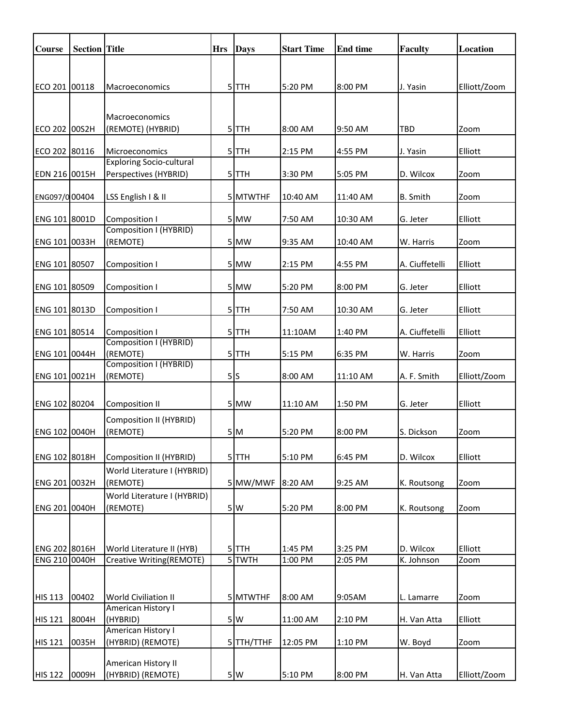| <b>Course</b>                  | <b>Section Title</b> |                                                       | <b>Hrs</b> | <b>Days</b>                  | <b>Start Time</b>  | <b>End time</b>    | <b>Faculty</b>          | Location        |
|--------------------------------|----------------------|-------------------------------------------------------|------------|------------------------------|--------------------|--------------------|-------------------------|-----------------|
|                                |                      |                                                       |            |                              |                    |                    |                         |                 |
| ECO 201 00118                  |                      | Macroeconomics                                        |            | 5TTH                         | 5:20 PM            | 8:00 PM            | J. Yasin                | Elliott/Zoom    |
|                                |                      |                                                       |            |                              |                    |                    |                         |                 |
|                                |                      | Macroeconomics                                        |            |                              |                    |                    |                         |                 |
| ECO 202 00S2H                  |                      | (REMOTE) (HYBRID)                                     |            | 5 TTH                        | 8:00 AM            | 9:50 AM            | TBD                     | Zoom            |
|                                |                      |                                                       |            |                              |                    |                    |                         |                 |
| ECO 202 80116                  |                      | Microeconomics<br><b>Exploring Socio-cultural</b>     |            | 5 TTH                        | 2:15 PM            | 4:55 PM            | J. Yasin                | Elliott         |
| EDN 216 0015H                  |                      | Perspectives (HYBRID)                                 |            | $5$ $TH$                     | 3:30 PM            | 5:05 PM            | D. Wilcox               | Zoom            |
|                                |                      |                                                       |            |                              |                    |                    |                         |                 |
| ENG097/0 00404                 |                      | LSS English I & II                                    |            | 5 MTWTHF                     | 10:40 AM           | 11:40 AM           | <b>B.</b> Smith         | Zoom            |
| ENG 101 8001D                  |                      | Composition I                                         |            | 5 MW                         | 7:50 AM            | 10:30 AM           | G. Jeter                | Elliott         |
|                                |                      | Composition I (HYBRID)                                |            |                              |                    |                    |                         |                 |
| ENG 101 0033H                  |                      | (REMOTE)                                              |            | 5 MW                         | 9:35 AM            | 10:40 AM           | W. Harris               | Zoom            |
| ENG 101 80507                  |                      | Composition I                                         |            | 5 MW                         | 2:15 PM            | 4:55 PM            | A. Ciuffetelli          | Elliott         |
|                                |                      |                                                       |            |                              |                    |                    |                         |                 |
| ENG 101 80509                  |                      | Composition I                                         |            | 5 MW                         | 5:20 PM            | 8:00 PM            | G. Jeter                | Elliott         |
| ENG 101 8013D                  |                      | Composition I                                         |            | 5 TTH                        | 7:50 AM            | 10:30 AM           | G. Jeter                | Elliott         |
|                                |                      |                                                       |            |                              |                    |                    |                         |                 |
| ENG 101 80514                  |                      | Composition I<br>Composition I (HYBRID)               |            | 5TTH                         | 11:10AM            | 1:40 PM            | A. Ciuffetelli          | Elliott         |
| ENG 101 0044H                  |                      | (REMOTE)                                              |            | 5TTH                         | 5:15 PM            | 6:35 PM            | W. Harris               | Zoom            |
| ENG 101 0021H                  |                      | Composition I (HYBRID)<br>(REMOTE)                    |            | 5S                           | 8:00 AM            | 11:10 AM           | A. F. Smith             | Elliott/Zoom    |
|                                |                      |                                                       |            |                              |                    |                    |                         |                 |
| ENG 102 80204                  |                      | <b>Composition II</b>                                 |            | 5 MW                         | 11:10 AM           | 1:50 PM            | G. Jeter                | Elliott         |
|                                |                      | Composition II (HYBRID)                               |            |                              |                    |                    |                         |                 |
| ENG 102 0040H                  |                      | (REMOTE)                                              |            | 5M                           | 5:20 PM            | 8:00 PM            | S. Dickson              | Zoom            |
|                                |                      |                                                       |            |                              |                    |                    |                         |                 |
| ENG 102 8018H                  |                      | Composition II (HYBRID)                               |            | 5TTH                         | 5:10 PM            | 6:45 PM            | D. Wilcox               | Elliott         |
| ENG 201 0032H                  |                      | World Literature I (HYBRID)<br>(REMOTE)               |            | 5 MW/MWF                     | 8:20 AM            | 9:25 AM            | K. Routsong             | Zoom            |
|                                |                      | World Literature I (HYBRID)                           |            |                              |                    |                    |                         |                 |
| ENG 201 0040H                  |                      | (REMOTE)                                              |            | 5 W                          | 5:20 PM            | 8:00 PM            | K. Routsong             | Zoom            |
|                                |                      |                                                       |            |                              |                    |                    |                         |                 |
|                                |                      |                                                       |            |                              |                    |                    |                         |                 |
| ENG 202 8016H<br>ENG 210 0040H |                      | World Literature II (HYB)<br>Creative Writing(REMOTE) |            | 5 TTH<br>$\overline{5}$ TWTH | 1:45 PM<br>1:00 PM | 3:25 PM<br>2:05 PM | D. Wilcox<br>K. Johnson | Elliott<br>Zoom |
|                                |                      |                                                       |            |                              |                    |                    |                         |                 |
|                                |                      |                                                       |            |                              |                    |                    |                         |                 |
| <b>HIS 113</b>                 | 00402                | World Civiliation II                                  |            | 5 MTWTHF                     | 8:00 AM            | 9:05AM             | L. Lamarre              | Zoom            |
| <b>HIS 121</b>                 | 8004H                | American History I<br>(HYBRID)                        |            | 5W                           | 11:00 AM           | 2:10 PM            | H. Van Atta             | Elliott         |
|                                |                      | American History I                                    |            |                              |                    |                    |                         |                 |
| <b>HIS 121</b>                 | 0035H                | (HYBRID) (REMOTE)                                     |            | 5TTH/TTHF                    | 12:05 PM           | 1:10 PM            | W. Boyd                 | Zoom            |
|                                |                      | American History II                                   |            |                              |                    |                    |                         |                 |
| <b>HIS 122</b>                 | 0009H                | (HYBRID) (REMOTE)                                     |            | 5W                           | 5:10 PM            | 8:00 PM            | H. Van Atta             | Elliott/Zoom    |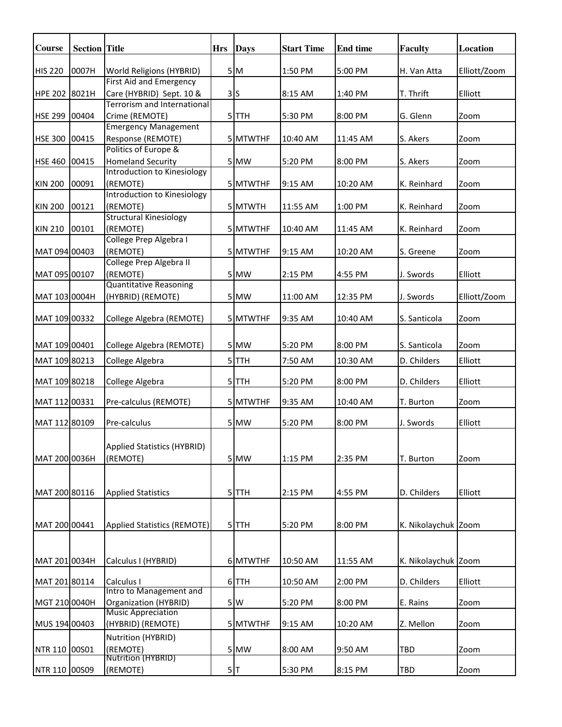| Course         | <b>Section</b> Title |                                                                                    | <b>Hrs</b> | <b>Days</b> | <b>Start Time</b> | <b>End time</b> | <b>Faculty</b>      | Location     |
|----------------|----------------------|------------------------------------------------------------------------------------|------------|-------------|-------------------|-----------------|---------------------|--------------|
| <b>HIS 220</b> | 0007H                | World Religions (HYBRID)                                                           |            | 5M          | 1:50 PM           | 5:00 PM         | H. Van Atta         | Elliott/Zoom |
| HPE 202 8021H  |                      | First Aid and Emergency<br>Care (HYBRID) Sept. 10 &<br>Terrorism and International |            | 3S          | 8:15 AM           | 1:40 PM         | T. Thrift           | Elliott      |
| HSE 299 00404  |                      | Crime (REMOTE)                                                                     |            | 5TTH        | 5:30 PM           | 8:00 PM         | G. Glenn            | Zoom         |
| HSE 300 00415  |                      | <b>Emergency Management</b><br>Response (REMOTE)                                   |            | 5 MTWTHF    | 10:40 AM          | 11:45 AM        | S. Akers            | Zoom         |
| HSE 460 00415  |                      | Politics of Europe &<br><b>Homeland Security</b>                                   |            | 5 MW        | 5:20 PM           | 8:00 PM         | S. Akers            | Zoom         |
| <b>KIN 200</b> | 00091                | Introduction to Kinesiology<br>(REMOTE)                                            |            | 5 MTWTHF    | 9:15 AM           | 10:20 AM        | K. Reinhard         | Zoom         |
| <b>KIN 200</b> | 00121                | Introduction to Kinesiology<br>(REMOTE)                                            |            | 5 MTWTH     | 11:55 AM          | 1:00 PM         | K. Reinhard         | Zoom         |
| <b>KIN 210</b> | 00101                | <b>Structural Kinesiology</b><br>(REMOTE)                                          |            | 5 MTWTHF    | 10:40 AM          | 11:45 AM        | K. Reinhard         | Zoom         |
| MAT 094 00403  |                      | College Prep Algebra I<br>(REMOTE)                                                 |            | 5 MTWTHF    | 9:15 AM           | 10:20 AM        | S. Greene           | Zoom         |
| MAT 095 00107  |                      | College Prep Algebra II<br>(REMOTE)                                                |            | 5 MW        | 2:15 PM           | 4:55 PM         | J. Swords           | Elliott      |
| MAT 103 0004H  |                      | <b>Quantitative Reasoning</b><br>(HYBRID) (REMOTE)                                 |            | 5 MW        | 11:00 AM          | 12:35 PM        | J. Swords           | Elliott/Zoom |
| MAT 109 00332  |                      | College Algebra (REMOTE)                                                           |            | 5 MTWTHF    | 9:35 AM           | 10:40 AM        | S. Santicola        | Zoom         |
| MAT 109 00401  |                      | College Algebra (REMOTE)                                                           |            | 5 MW        | 5:20 PM           | 8:00 PM         | S. Santicola        | Zoom         |
| MAT 109 80213  |                      | College Algebra                                                                    |            | $5$ TTH     | 7:50 AM           | 10:30 AM        | D. Childers         | Elliott      |
| MAT 109 80218  |                      | College Algebra                                                                    |            | 5TTH        | 5:20 PM           | 8:00 PM         | D. Childers         | Elliott      |
| MAT 112 00331  |                      | Pre-calculus (REMOTE)                                                              |            | 5 MTWTHF    | 9:35 AM           | 10:40 AM        | T. Burton           | Zoom         |
| MAT 112 80109  |                      | Pre-calculus                                                                       |            | 5 MW        | 5:20 PM           | 8:00 PM         | J. Swords           | Elliott      |
| MAT 200 0036H  |                      | Applied Statistics (HYBRID)<br>(REMOTE)                                            |            | 5 MW        | 1:15 PM           | 2:35 PM         | T. Burton           | Zoom         |
| MAT 200 80116  |                      | <b>Applied Statistics</b>                                                          |            | 5TTH        | 2:15 PM           | 4:55 PM         | D. Childers         | Elliott      |
| MAT 200 00441  |                      | Applied Statistics (REMOTE)                                                        |            | 5 TTH       | 5:20 PM           | 8:00 PM         | K. Nikolaychuk Zoom |              |
| MAT 201 0034H  |                      | Calculus I (HYBRID)                                                                |            | 6 MTWTHF    | 10:50 AM          | 11:55 AM        | K. Nikolaychuk Zoom |              |
| MAT 201 80114  |                      | Calculus I                                                                         |            | 6 TTH       | 10:50 AM          | 2:00 PM         | D. Childers         | Elliott      |
| MGT 210 0040H  |                      | Intro to Management and<br>Organization (HYBRID)                                   |            | 5W          | 5:20 PM           | 8:00 PM         | E. Rains            | Zoom         |
| MUS 194 00403  |                      | <b>Music Appreciation</b><br>(HYBRID) (REMOTE)                                     |            | 5 MTWTHF    | 9:15 AM           | 10:20 AM        | Z. Mellon           | Zoom         |
| NTR 110 00S01  |                      | Nutrition (HYBRID)<br>(REMOTE)                                                     |            | 5 MW        | 8:00 AM           | 9:50 AM         | TBD                 | Zoom         |
| NTR 110 00S09  |                      | Nutrition (HYBRID)<br>(REMOTE)                                                     |            | 5T          | 5:30 PM           | 8:15 PM         | TBD                 | Zoom         |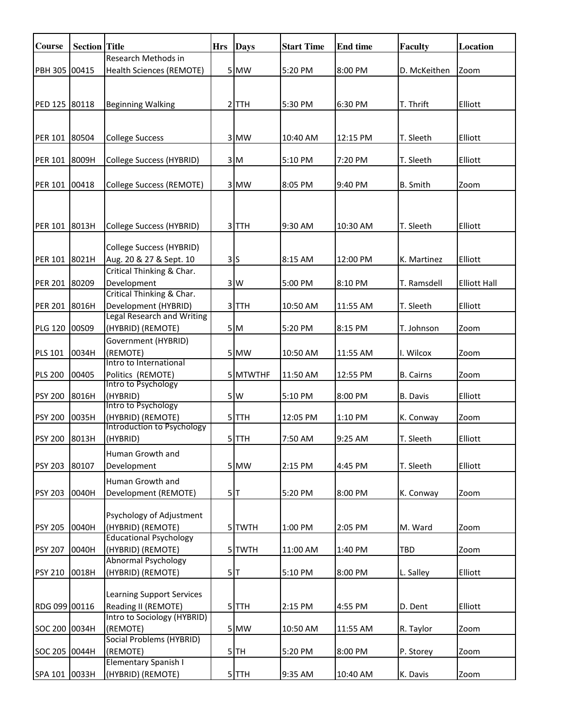| Course         | <b>Section</b> Title |                                                      | <b>Hrs</b> | <b>Days</b> | <b>Start Time</b> | <b>End time</b> | <b>Faculty</b>   | <b>Location</b>     |
|----------------|----------------------|------------------------------------------------------|------------|-------------|-------------------|-----------------|------------------|---------------------|
| PBH 305 00415  |                      | Research Methods in                                  |            |             | 5:20 PM           |                 |                  |                     |
|                |                      | Health Sciences (REMOTE)                             |            | 5 MW        |                   | 8:00 PM         | D. McKeithen     | Zoom                |
|                |                      |                                                      |            |             |                   |                 |                  |                     |
| PED 125 80118  |                      | <b>Beginning Walking</b>                             |            | $2$ TTH     | 5:30 PM           | 6:30 PM         | T. Thrift        | Elliott             |
|                |                      |                                                      |            |             |                   |                 |                  |                     |
| PER 101 80504  |                      | <b>College Success</b>                               |            | 3 MW        | 10:40 AM          | 12:15 PM        | T. Sleeth        | Elliott             |
|                |                      |                                                      |            |             |                   |                 |                  |                     |
| <b>PER 101</b> | 8009H                | College Success (HYBRID)                             |            | 3M          | 5:10 PM           | 7:20 PM         | T. Sleeth        | Elliott             |
|                |                      |                                                      |            |             |                   |                 |                  |                     |
| PER 101        | 00418                | College Success (REMOTE)                             |            | 3 MW        | 8:05 PM           | 9:40 PM         | <b>B.</b> Smith  | Zoom                |
|                |                      |                                                      |            |             |                   |                 |                  |                     |
|                |                      |                                                      |            |             |                   |                 |                  |                     |
| PER 101 8013H  |                      | College Success (HYBRID)                             |            | 3TTH        | 9:30 AM           | 10:30 AM        | T. Sleeth        | Elliott             |
|                |                      |                                                      |            |             |                   |                 |                  |                     |
|                |                      | College Success (HYBRID)                             |            |             |                   |                 |                  | Elliott             |
| PER 101 8021H  |                      | Aug. 20 & 27 & Sept. 10<br>Critical Thinking & Char. |            | 3S          | 8:15 AM           | 12:00 PM        | K. Martinez      |                     |
| PER 201 80209  |                      | Development                                          |            | 3W          | 5:00 PM           | 8:10 PM         | T. Ramsdell      | <b>Elliott Hall</b> |
|                |                      | Critical Thinking & Char.                            |            |             |                   |                 |                  |                     |
| <b>PER 201</b> | 8016H                | Development (HYBRID)                                 |            | 3TTH        | 10:50 AM          | 11:55 AM        | T. Sleeth        | Elliott             |
|                |                      | Legal Research and Writing                           |            |             |                   |                 |                  |                     |
| <b>PLG 120</b> | 00S09                | (HYBRID) (REMOTE)                                    |            | 5M          | 5:20 PM           | 8:15 PM         | T. Johnson       | Zoom                |
|                |                      | Government (HYBRID)                                  |            |             |                   |                 |                  |                     |
| <b>PLS 101</b> | 0034H                | (REMOTE)<br>Intro to International                   |            | 5 MW        | 10:50 AM          | 11:55 AM        | I. Wilcox        | Zoom                |
| <b>PLS 200</b> | 00405                | Politics (REMOTE)                                    |            | 5 MTWTHF    | 11:50 AM          | 12:55 PM        | <b>B.</b> Cairns | Zoom                |
|                |                      | Intro to Psychology                                  |            |             |                   |                 |                  |                     |
| <b>PSY 200</b> | 8016H                | (HYBRID)<br>Intro to Psychology                      |            | 5W          | 5:10 PM           | 8:00 PM         | <b>B.</b> Davis  | Elliott             |
| <b>PSY 200</b> | 0035H                | (HYBRID) (REMOTE)                                    |            | 5TTH        | 12:05 PM          | 1:10 PM         | K. Conway        | Zoom                |
|                |                      | Introduction to Psychology                           |            |             |                   |                 |                  |                     |
| <b>PSY 200</b> | 8013H                | (HYBRID)                                             |            | 5TTH        | 7:50 AM           | 9:25 AM         | T. Sleeth        | Elliott             |
|                |                      | Human Growth and                                     |            |             |                   |                 |                  |                     |
| <b>PSY 203</b> | 80107                | Development                                          |            | 5 MW        | 2:15 PM           | 4:45 PM         | T. Sleeth        | Elliott             |
|                |                      | Human Growth and                                     |            |             |                   |                 |                  |                     |
| <b>PSY 203</b> | 0040H                | Development (REMOTE)                                 |            | 5 T         | 5:20 PM           | 8:00 PM         | K. Conway        | Zoom                |
|                |                      |                                                      |            |             |                   |                 |                  |                     |
| <b>PSY 205</b> | 0040H                | Psychology of Adjustment<br>(HYBRID) (REMOTE)        |            | 5TWTH       | 1:00 PM           | 2:05 PM         | M. Ward          | Zoom                |
|                |                      | <b>Educational Psychology</b>                        |            |             |                   |                 |                  |                     |
| <b>PSY 207</b> | 0040H                | (HYBRID) (REMOTE)                                    |            | 5 TWTH      | 11:00 AM          | 1:40 PM         | TBD              | Zoom                |
|                |                      | <b>Abnormal Psychology</b>                           |            |             |                   |                 |                  |                     |
| <b>PSY 210</b> | 0018H                | (HYBRID) (REMOTE)                                    |            | 5 T         | 5:10 PM           | 8:00 PM         | L. Salley        | Elliott             |
|                |                      | <b>Learning Support Services</b>                     |            |             |                   |                 |                  |                     |
| RDG 099 00116  |                      | Reading II (REMOTE)                                  |            | $5$ TTH     | 2:15 PM           | 4:55 PM         | D. Dent          | Elliott             |
|                |                      | Intro to Sociology (HYBRID)                          |            |             |                   |                 |                  |                     |
| SOC 200 0034H  |                      | (REMOTE)                                             |            | 5 MW        | 10:50 AM          | 11:55 AM        | R. Taylor        | Zoom                |
|                |                      | <b>Social Problems (HYBRID)</b>                      |            |             |                   |                 |                  |                     |
| SOC 205 0044H  |                      | (REMOTE)                                             |            | $5$ $TH$    | 5:20 PM           | 8:00 PM         | P. Storey        | Zoom                |
|                |                      | Elementary Spanish I                                 |            |             |                   |                 |                  |                     |
| SPA 101 0033H  |                      | (HYBRID) (REMOTE)                                    |            | 5TTH        | 9:35 AM           | 10:40 AM        | K. Davis         | Zoom                |